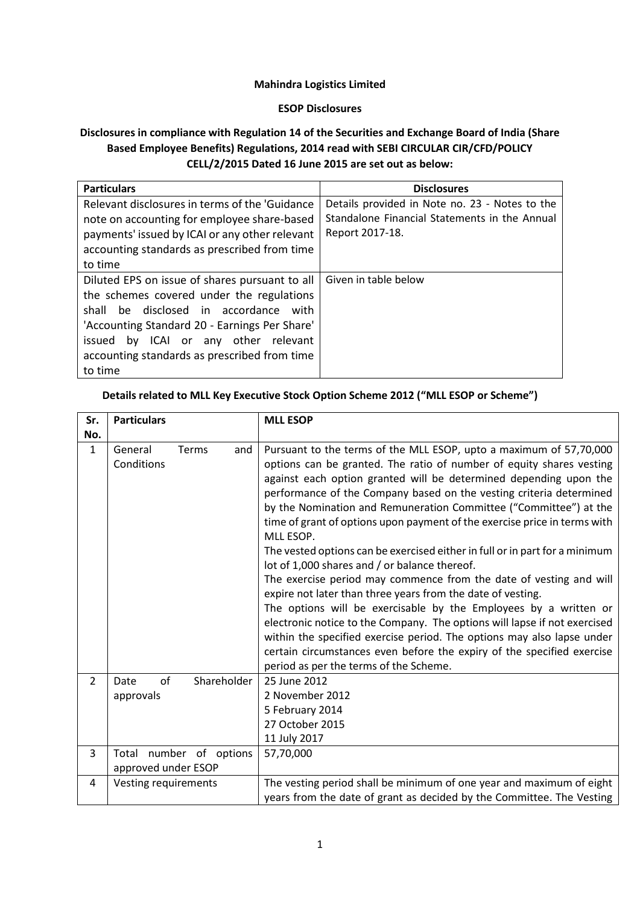### **Mahindra Logistics Limited**

#### **ESOP Disclosures**

# **Disclosures in compliance with Regulation 14 of the Securities and Exchange Board of India (Share Based Employee Benefits) Regulations, 2014 read with SEBI CIRCULAR CIR/CFD/POLICY CELL/2/2015 Dated 16 June 2015 are set out as below:**

| <b>Particulars</b>                             | <b>Disclosures</b>                             |
|------------------------------------------------|------------------------------------------------|
| Relevant disclosures in terms of the 'Guidance | Details provided in Note no. 23 - Notes to the |
| note on accounting for employee share-based    | Standalone Financial Statements in the Annual  |
| payments' issued by ICAI or any other relevant | Report 2017-18.                                |
| accounting standards as prescribed from time   |                                                |
| to time                                        |                                                |
| Diluted EPS on issue of shares pursuant to all | Given in table below                           |
| the schemes covered under the regulations      |                                                |
| be disclosed in accordance with<br>shall       |                                                |
| 'Accounting Standard 20 - Earnings Per Share'  |                                                |
| issued by ICAI or any other relevant           |                                                |
| accounting standards as prescribed from time   |                                                |
| to time                                        |                                                |

### **Details related to MLL Key Executive Stock Option Scheme 2012 ("MLL ESOP or Scheme")**

| Sr.            | <b>Particulars</b>                             | <b>MLL ESOP</b>                                                                                                                                                                                                                                                                                                                                                                                                                                                                                                                                                                                                                                                                                                                                                                                                                                                                                                                                                                                                                                                           |  |  |  |  |  |  |
|----------------|------------------------------------------------|---------------------------------------------------------------------------------------------------------------------------------------------------------------------------------------------------------------------------------------------------------------------------------------------------------------------------------------------------------------------------------------------------------------------------------------------------------------------------------------------------------------------------------------------------------------------------------------------------------------------------------------------------------------------------------------------------------------------------------------------------------------------------------------------------------------------------------------------------------------------------------------------------------------------------------------------------------------------------------------------------------------------------------------------------------------------------|--|--|--|--|--|--|
| No.            |                                                |                                                                                                                                                                                                                                                                                                                                                                                                                                                                                                                                                                                                                                                                                                                                                                                                                                                                                                                                                                                                                                                                           |  |  |  |  |  |  |
| $\mathbf{1}$   | General<br>Terms<br>and<br>Conditions          | Pursuant to the terms of the MLL ESOP, upto a maximum of 57,70,000<br>options can be granted. The ratio of number of equity shares vesting<br>against each option granted will be determined depending upon the<br>performance of the Company based on the vesting criteria determined<br>by the Nomination and Remuneration Committee ("Committee") at the<br>time of grant of options upon payment of the exercise price in terms with<br>MLL ESOP.<br>The vested options can be exercised either in full or in part for a minimum<br>lot of 1,000 shares and / or balance thereof.<br>The exercise period may commence from the date of vesting and will<br>expire not later than three years from the date of vesting.<br>The options will be exercisable by the Employees by a written or<br>electronic notice to the Company. The options will lapse if not exercised<br>within the specified exercise period. The options may also lapse under<br>certain circumstances even before the expiry of the specified exercise<br>period as per the terms of the Scheme. |  |  |  |  |  |  |
| $\overline{2}$ | of<br>Shareholder<br>Date<br>approvals         | 25 June 2012<br>2 November 2012<br>5 February 2014<br>27 October 2015<br>11 July 2017                                                                                                                                                                                                                                                                                                                                                                                                                                                                                                                                                                                                                                                                                                                                                                                                                                                                                                                                                                                     |  |  |  |  |  |  |
| 3              | Total number of options<br>approved under ESOP | 57,70,000                                                                                                                                                                                                                                                                                                                                                                                                                                                                                                                                                                                                                                                                                                                                                                                                                                                                                                                                                                                                                                                                 |  |  |  |  |  |  |
| 4              | Vesting requirements                           | The vesting period shall be minimum of one year and maximum of eight<br>years from the date of grant as decided by the Committee. The Vesting                                                                                                                                                                                                                                                                                                                                                                                                                                                                                                                                                                                                                                                                                                                                                                                                                                                                                                                             |  |  |  |  |  |  |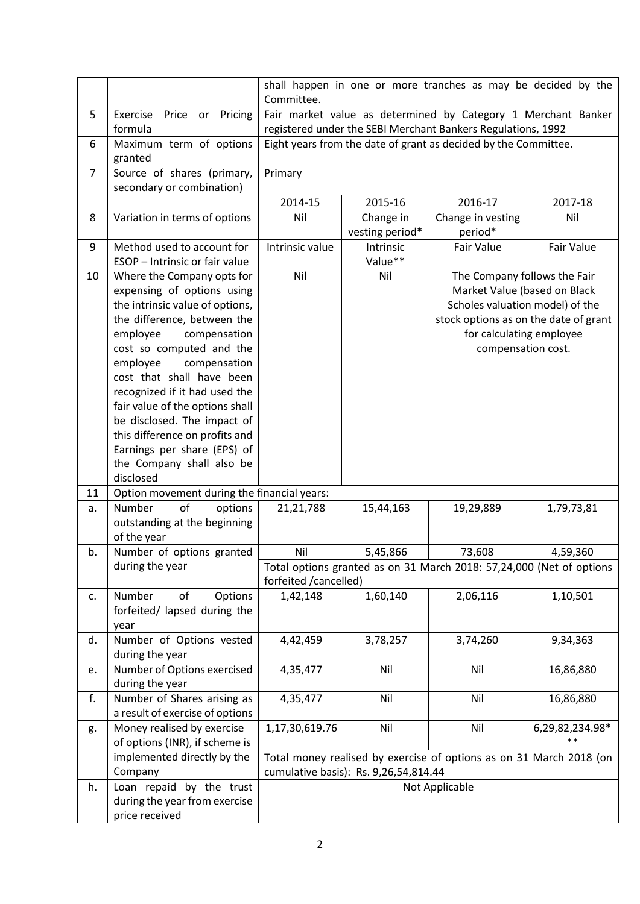|    |                                                                                                                                                                                                                                                                                                                                                                                                                                                           | shall happen in one or more tranches as may be decided by the<br>Committee. |                                       |                                                                                                                                                                                            |                          |  |  |  |  |  |
|----|-----------------------------------------------------------------------------------------------------------------------------------------------------------------------------------------------------------------------------------------------------------------------------------------------------------------------------------------------------------------------------------------------------------------------------------------------------------|-----------------------------------------------------------------------------|---------------------------------------|--------------------------------------------------------------------------------------------------------------------------------------------------------------------------------------------|--------------------------|--|--|--|--|--|
| 5  | Exercise<br>Price<br>Pricing<br>or<br>formula                                                                                                                                                                                                                                                                                                                                                                                                             |                                                                             |                                       | Fair market value as determined by Category 1 Merchant Banker<br>registered under the SEBI Merchant Bankers Regulations, 1992                                                              |                          |  |  |  |  |  |
| 6  | Maximum term of options<br>granted                                                                                                                                                                                                                                                                                                                                                                                                                        |                                                                             |                                       | Eight years from the date of grant as decided by the Committee.                                                                                                                            |                          |  |  |  |  |  |
| 7  | Source of shares (primary,<br>secondary or combination)                                                                                                                                                                                                                                                                                                                                                                                                   | Primary                                                                     |                                       |                                                                                                                                                                                            |                          |  |  |  |  |  |
|    |                                                                                                                                                                                                                                                                                                                                                                                                                                                           | 2014-15                                                                     | 2015-16                               | 2016-17                                                                                                                                                                                    | 2017-18                  |  |  |  |  |  |
| 8  | Variation in terms of options                                                                                                                                                                                                                                                                                                                                                                                                                             | Nil                                                                         | Change in<br>vesting period*          | Change in vesting<br>period*                                                                                                                                                               | Nil                      |  |  |  |  |  |
| 9  | Method used to account for<br>ESOP - Intrinsic or fair value                                                                                                                                                                                                                                                                                                                                                                                              | Intrinsic value                                                             | Intrinsic<br>Value**                  | Fair Value                                                                                                                                                                                 | <b>Fair Value</b>        |  |  |  |  |  |
| 10 | Where the Company opts for<br>expensing of options using<br>the intrinsic value of options,<br>the difference, between the<br>compensation<br>employee<br>cost so computed and the<br>employee<br>compensation<br>cost that shall have been<br>recognized if it had used the<br>fair value of the options shall<br>be disclosed. The impact of<br>this difference on profits and<br>Earnings per share (EPS) of<br>the Company shall also be<br>disclosed | Nil                                                                         | Nil                                   | The Company follows the Fair<br>Market Value (based on Black<br>Scholes valuation model) of the<br>stock options as on the date of grant<br>for calculating employee<br>compensation cost. |                          |  |  |  |  |  |
| 11 | Option movement during the financial years:                                                                                                                                                                                                                                                                                                                                                                                                               |                                                                             |                                       |                                                                                                                                                                                            |                          |  |  |  |  |  |
| a. | of<br>Number<br>options<br>outstanding at the beginning<br>of the year                                                                                                                                                                                                                                                                                                                                                                                    | 21,21,788                                                                   | 15,44,163                             | 19,29,889                                                                                                                                                                                  | 1,79,73,81               |  |  |  |  |  |
| b. | Number of options granted                                                                                                                                                                                                                                                                                                                                                                                                                                 | Nil                                                                         | 5,45,866                              | 73,608                                                                                                                                                                                     | 4,59,360                 |  |  |  |  |  |
|    | during the year                                                                                                                                                                                                                                                                                                                                                                                                                                           | forfeited /cancelled)                                                       |                                       | Total options granted as on 31 March 2018: 57,24,000 (Net of options                                                                                                                       |                          |  |  |  |  |  |
| c. | Number<br>of<br>Options<br>forfeited/ lapsed during the<br>year                                                                                                                                                                                                                                                                                                                                                                                           | 1,42,148                                                                    | 1,60,140                              | 2,06,116                                                                                                                                                                                   | 1,10,501                 |  |  |  |  |  |
| d. | Number of Options vested<br>during the year                                                                                                                                                                                                                                                                                                                                                                                                               | 4,42,459                                                                    | 3,78,257                              | 3,74,260                                                                                                                                                                                   | 9,34,363                 |  |  |  |  |  |
| e. | Number of Options exercised<br>during the year                                                                                                                                                                                                                                                                                                                                                                                                            | 4,35,477                                                                    | Nil                                   | Nil                                                                                                                                                                                        | 16,86,880                |  |  |  |  |  |
| f. | Number of Shares arising as<br>a result of exercise of options                                                                                                                                                                                                                                                                                                                                                                                            | 4,35,477                                                                    | Nil                                   | Nil                                                                                                                                                                                        | 16,86,880                |  |  |  |  |  |
| g. | Money realised by exercise<br>of options (INR), if scheme is                                                                                                                                                                                                                                                                                                                                                                                              | 1,17,30,619.76                                                              | Nil                                   | Nil                                                                                                                                                                                        | 6,29,82,234.98*<br>$***$ |  |  |  |  |  |
|    | implemented directly by the<br>Company                                                                                                                                                                                                                                                                                                                                                                                                                    |                                                                             | cumulative basis): Rs. 9,26,54,814.44 | Total money realised by exercise of options as on 31 March 2018 (on                                                                                                                        |                          |  |  |  |  |  |
| h. | Loan repaid by the trust<br>during the year from exercise<br>price received                                                                                                                                                                                                                                                                                                                                                                               |                                                                             |                                       | Not Applicable                                                                                                                                                                             |                          |  |  |  |  |  |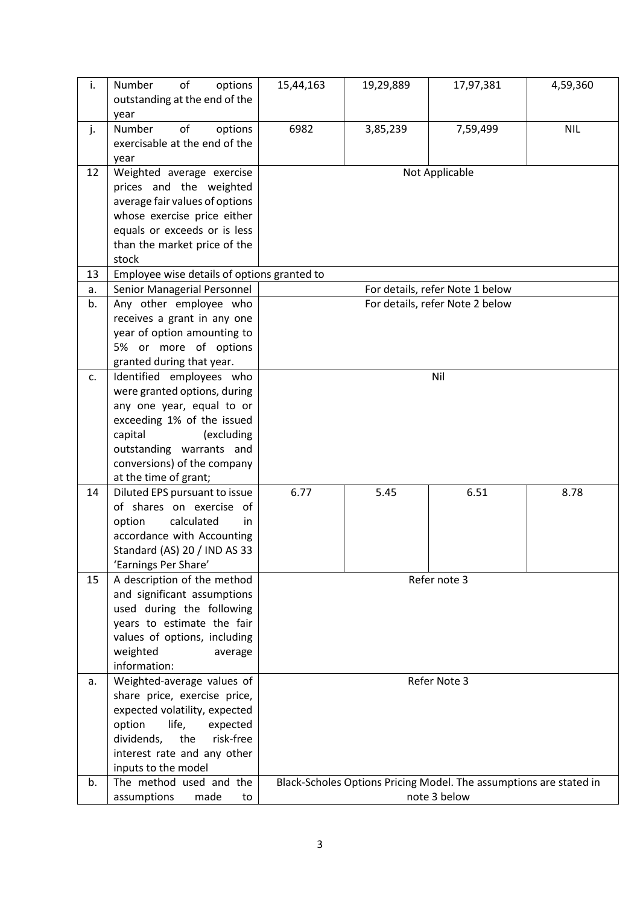| i. | Number<br>of<br>options<br>outstanding at the end of the<br>year                                                                                                                                                   | 15,44,163                       | 19,29,889 | 17,97,381                                                                          | 4,59,360   |  |  |  |  |  |  |
|----|--------------------------------------------------------------------------------------------------------------------------------------------------------------------------------------------------------------------|---------------------------------|-----------|------------------------------------------------------------------------------------|------------|--|--|--|--|--|--|
| j. | of<br>Number<br>options<br>exercisable at the end of the<br>year                                                                                                                                                   | 6982                            | 3,85,239  | 7,59,499                                                                           | <b>NIL</b> |  |  |  |  |  |  |
| 12 | Weighted average exercise<br>prices and the weighted<br>average fair values of options<br>whose exercise price either<br>equals or exceeds or is less<br>than the market price of the<br>stock                     | Not Applicable                  |           |                                                                                    |            |  |  |  |  |  |  |
| 13 | Employee wise details of options granted to                                                                                                                                                                        |                                 |           |                                                                                    |            |  |  |  |  |  |  |
| a. | Senior Managerial Personnel                                                                                                                                                                                        |                                 |           | For details, refer Note 1 below                                                    |            |  |  |  |  |  |  |
| b. | Any other employee who<br>receives a grant in any one<br>year of option amounting to<br>5% or more of options<br>granted during that year.                                                                         | For details, refer Note 2 below |           |                                                                                    |            |  |  |  |  |  |  |
| c. | Identified employees who                                                                                                                                                                                           | Nil                             |           |                                                                                    |            |  |  |  |  |  |  |
|    | were granted options, during<br>any one year, equal to or<br>exceeding 1% of the issued<br>capital<br>(excluding<br>outstanding warrants and<br>conversions) of the company<br>at the time of grant;               |                                 |           |                                                                                    |            |  |  |  |  |  |  |
| 14 | Diluted EPS pursuant to issue<br>of shares on exercise of<br>option<br>calculated<br>in<br>accordance with Accounting<br>Standard (AS) 20 / IND AS 33<br>'Earnings Per Share'                                      | 6.77                            | 5.45      | 6.51                                                                               | 8.78       |  |  |  |  |  |  |
| 15 | A description of the method<br>and significant assumptions<br>used during the following<br>years to estimate the fair<br>values of options, including<br>weighted<br>average<br>information:                       | Refer note 3                    |           |                                                                                    |            |  |  |  |  |  |  |
| a. | Weighted-average values of<br>share price, exercise price,<br>expected volatility, expected<br>option<br>life,<br>expected<br>risk-free<br>dividends,<br>the<br>interest rate and any other<br>inputs to the model | Refer Note 3                    |           |                                                                                    |            |  |  |  |  |  |  |
| b. | The method used and the<br>assumptions<br>made<br>to                                                                                                                                                               |                                 |           | Black-Scholes Options Pricing Model. The assumptions are stated in<br>note 3 below |            |  |  |  |  |  |  |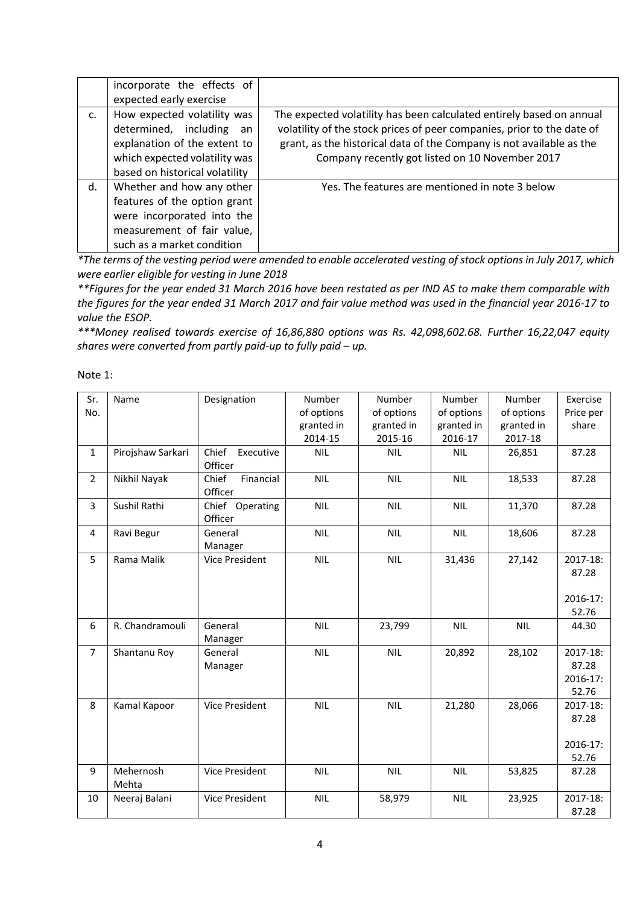|                | incorporate the effects of<br>expected early exercise                                                                                                         |                                                                                                                                                                                                                                                                           |
|----------------|---------------------------------------------------------------------------------------------------------------------------------------------------------------|---------------------------------------------------------------------------------------------------------------------------------------------------------------------------------------------------------------------------------------------------------------------------|
| $\mathsf{C}$ . | How expected volatility was<br>determined, including<br>an<br>explanation of the extent to<br>which expected volatility was<br>based on historical volatility | The expected volatility has been calculated entirely based on annual<br>volatility of the stock prices of peer companies, prior to the date of<br>grant, as the historical data of the Company is not available as the<br>Company recently got listed on 10 November 2017 |
| d.             | Whether and how any other<br>features of the option grant<br>were incorporated into the<br>measurement of fair value,<br>such as a market condition           | Yes. The features are mentioned in note 3 below                                                                                                                                                                                                                           |

*\*The terms of the vesting period were amended to enable accelerated vesting of stock options in July 2017, which were earlier eligible for vesting in June 2018*

*\*\*Figures for the year ended 31 March 2016 have been restated as per IND AS to make them comparable with the figures for the year ended 31 March 2017 and fair value method was used in the financial year 2016-17 to value the ESOP.*

*\*\*\*Money realised towards exercise of 16,86,880 options was Rs. 42,098,602.68. Further 16,22,047 equity shares were converted from partly paid-up to fully paid – up.*

Note 1:

| Sr.            | Name              | Designation           | Number     | Number     | Number     | Number     |           |  |
|----------------|-------------------|-----------------------|------------|------------|------------|------------|-----------|--|
| No.            |                   |                       | of options | of options | of options | of options | Price per |  |
|                |                   |                       | granted in | granted in | granted in | granted in | share     |  |
|                |                   |                       | 2014-15    | 2015-16    | 2016-17    | 2017-18    |           |  |
| $\mathbf{1}$   | Pirojshaw Sarkari | Chief<br>Executive    | <b>NIL</b> | <b>NIL</b> | <b>NIL</b> | 26,851     | 87.28     |  |
|                |                   | Officer               |            |            |            |            |           |  |
| $\overline{2}$ | Nikhil Nayak      | Chief<br>Financial    | <b>NIL</b> | <b>NIL</b> | <b>NIL</b> | 18,533     | 87.28     |  |
|                |                   | Officer               |            |            |            |            |           |  |
| 3              | Sushil Rathi      | Chief Operating       | <b>NIL</b> | <b>NIL</b> | <b>NIL</b> | 11,370     | 87.28     |  |
|                |                   | Officer               |            |            |            |            |           |  |
| 4              | Ravi Begur        | General               | <b>NIL</b> | <b>NIL</b> | <b>NIL</b> | 18,606     | 87.28     |  |
|                |                   | Manager               |            |            |            |            |           |  |
| 5              | Rama Malik        | <b>Vice President</b> | <b>NIL</b> | <b>NIL</b> | 31,436     | 27,142     | 2017-18:  |  |
|                |                   |                       |            |            |            |            | 87.28     |  |
|                |                   |                       |            |            |            |            |           |  |
|                |                   |                       |            |            |            |            | 2016-17:  |  |
|                |                   |                       |            |            |            |            | 52.76     |  |
| 6              | R. Chandramouli   | General               | <b>NIL</b> | 23,799     | <b>NIL</b> | <b>NIL</b> | 44.30     |  |
|                |                   | Manager               |            |            |            |            |           |  |
| $\overline{7}$ | Shantanu Roy      | General               | <b>NIL</b> | <b>NIL</b> | 20,892     | 28,102     | 2017-18:  |  |
|                |                   | Manager               |            |            |            |            | 87.28     |  |
|                |                   |                       |            |            |            |            | 2016-17:  |  |
|                |                   |                       |            |            |            |            | 52.76     |  |
| 8              | Kamal Kapoor      | Vice President        | <b>NIL</b> | <b>NIL</b> | 21,280     | 28,066     | 2017-18:  |  |
|                |                   |                       |            |            |            |            | 87.28     |  |
|                |                   |                       |            |            |            |            |           |  |
|                |                   |                       |            |            |            |            | 2016-17:  |  |
|                |                   |                       |            |            |            |            | 52.76     |  |
| 9              | Mehernosh         | Vice President        | <b>NIL</b> | <b>NIL</b> | <b>NIL</b> | 53,825     | 87.28     |  |
|                | Mehta             |                       |            |            |            |            |           |  |
| 10             | Neeraj Balani     | <b>Vice President</b> | <b>NIL</b> | 58,979     | <b>NIL</b> | 23,925     | 2017-18:  |  |
|                |                   |                       |            |            |            |            | 87.28     |  |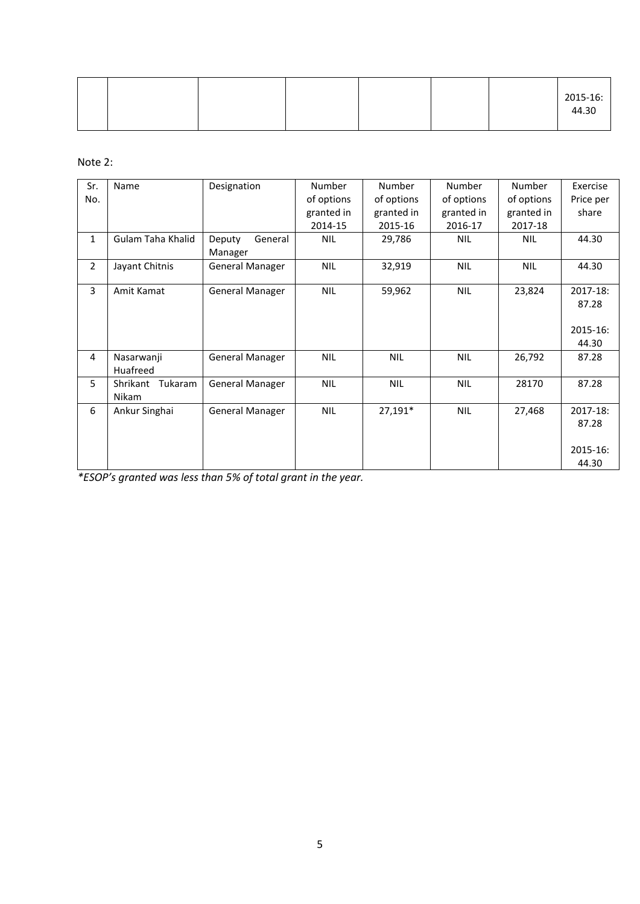|  |  |  | 2015-16: |
|--|--|--|----------|
|  |  |  | 44.30    |

Note 2:

| Sr.            | Name                | Designation            | Number     | <b>Number</b> | Number     | Number     | Exercise  |
|----------------|---------------------|------------------------|------------|---------------|------------|------------|-----------|
| No.            |                     |                        | of options | of options    | of options | of options | Price per |
|                |                     |                        | granted in | granted in    | granted in | granted in | share     |
|                |                     |                        | 2014-15    | 2015-16       | 2016-17    | 2017-18    |           |
| $\mathbf{1}$   | Gulam Taha Khalid   | Deputy<br>General      | <b>NIL</b> | 29,786        | NIL        | <b>NIL</b> | 44.30     |
|                |                     | Manager                |            |               |            |            |           |
| $\overline{2}$ | Jayant Chitnis      | <b>General Manager</b> | <b>NIL</b> | 32,919        | <b>NIL</b> | <b>NIL</b> | 44.30     |
|                |                     |                        |            |               |            |            |           |
| 3              | Amit Kamat          | <b>General Manager</b> | <b>NIL</b> | 59,962        | NIL        | 23,824     | 2017-18:  |
|                |                     |                        |            |               |            |            | 87.28     |
|                |                     |                        |            |               |            |            |           |
|                |                     |                        |            |               |            |            | 2015-16:  |
|                |                     |                        |            |               |            |            | 44.30     |
| $\overline{4}$ | Nasarwanji          | <b>General Manager</b> | <b>NIL</b> | <b>NIL</b>    | NIL        | 26,792     | 87.28     |
|                | Huafreed            |                        |            |               |            |            |           |
| 5              | Tukaram<br>Shrikant | <b>General Manager</b> | <b>NIL</b> | <b>NIL</b>    | <b>NIL</b> | 28170      | 87.28     |
|                | Nikam               |                        |            |               |            |            |           |
| 6              | Ankur Singhai       | <b>General Manager</b> | <b>NIL</b> | 27,191*       | <b>NIL</b> | 27,468     | 2017-18:  |
|                |                     |                        |            |               |            |            | 87.28     |
|                |                     |                        |            |               |            |            |           |
|                |                     |                        |            |               |            |            | 2015-16:  |
|                |                     |                        |            |               |            |            | 44.30     |

*\*ESOP's granted was less than 5% of total grant in the year.*